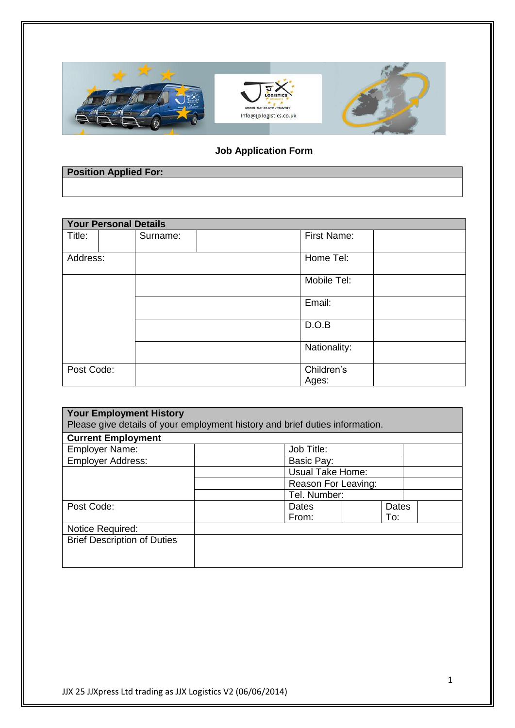

## **Job Application Form**

| <b>Position Applied For:</b> |  |
|------------------------------|--|
|                              |  |

| <b>Your Personal Details</b> |  |          |  |                     |  |  |  |
|------------------------------|--|----------|--|---------------------|--|--|--|
| Title:                       |  | Surname: |  | First Name:         |  |  |  |
| Address:                     |  |          |  | Home Tel:           |  |  |  |
|                              |  |          |  | Mobile Tel:         |  |  |  |
|                              |  |          |  | Email:              |  |  |  |
|                              |  |          |  | D.O.B               |  |  |  |
|                              |  |          |  | Nationality:        |  |  |  |
| Post Code:                   |  |          |  | Children's<br>Ages: |  |  |  |
|                              |  |          |  |                     |  |  |  |

| <b>Your Employment History</b><br>Please give details of your employment history and brief duties information. |                         |                     |  |  |  |  |
|----------------------------------------------------------------------------------------------------------------|-------------------------|---------------------|--|--|--|--|
| <b>Current Employment</b>                                                                                      |                         |                     |  |  |  |  |
| <b>Employer Name:</b>                                                                                          | Job Title:              |                     |  |  |  |  |
| <b>Employer Address:</b>                                                                                       | Basic Pay:              |                     |  |  |  |  |
|                                                                                                                | <b>Usual Take Home:</b> |                     |  |  |  |  |
|                                                                                                                |                         | Reason For Leaving: |  |  |  |  |
|                                                                                                                | Tel. Number:            |                     |  |  |  |  |
| Post Code:                                                                                                     | Dates                   | <b>Dates</b>        |  |  |  |  |
|                                                                                                                | From:                   | To:                 |  |  |  |  |
| Notice Required:                                                                                               |                         |                     |  |  |  |  |
| <b>Brief Description of Duties</b>                                                                             |                         |                     |  |  |  |  |
|                                                                                                                |                         |                     |  |  |  |  |
|                                                                                                                |                         |                     |  |  |  |  |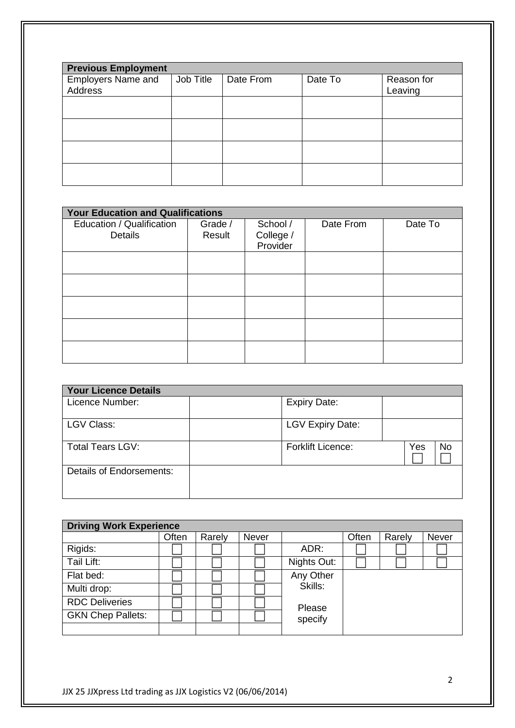| <b>Previous Employment</b>           |           |           |         |                       |  |  |  |
|--------------------------------------|-----------|-----------|---------|-----------------------|--|--|--|
| Employers Name and<br><b>Address</b> | Job Title | Date From | Date To | Reason for<br>Leaving |  |  |  |
|                                      |           |           |         |                       |  |  |  |
|                                      |           |           |         |                       |  |  |  |
|                                      |           |           |         |                       |  |  |  |
|                                      |           |           |         |                       |  |  |  |

| <b>Your Education and Qualifications</b> |                   |                       |           |         |  |  |
|------------------------------------------|-------------------|-----------------------|-----------|---------|--|--|
| Education / Qualification<br>Details     | Grade /<br>Result | School /<br>College / | Date From | Date To |  |  |
|                                          |                   | Provider              |           |         |  |  |
|                                          |                   |                       |           |         |  |  |
|                                          |                   |                       |           |         |  |  |
|                                          |                   |                       |           |         |  |  |
|                                          |                   |                       |           |         |  |  |
|                                          |                   |                       |           |         |  |  |

| <b>Your Licence Details</b> |                          |           |
|-----------------------------|--------------------------|-----------|
| Licence Number:             | <b>Expiry Date:</b>      |           |
| <b>LGV Class:</b>           | <b>LGV Expiry Date:</b>  |           |
| <b>Total Tears LGV:</b>     | <b>Forklift Licence:</b> | Yes<br>No |
| Details of Endorsements:    |                          |           |

| <b>Driving Work Experience</b> |       |        |              |             |       |        |              |
|--------------------------------|-------|--------|--------------|-------------|-------|--------|--------------|
|                                | Often | Rarely | <b>Never</b> |             | Often | Rarely | <b>Never</b> |
| Rigids:                        |       |        |              | ADR:        |       |        |              |
| Tail Lift:                     |       |        |              | Nights Out: |       |        |              |
| Flat bed:                      |       |        |              | Any Other   |       |        |              |
| Multi drop:                    |       |        |              | Skills:     |       |        |              |
| <b>RDC Deliveries</b>          |       |        |              | Please      |       |        |              |
| <b>GKN Chep Pallets:</b>       |       |        |              | specify     |       |        |              |
|                                |       |        |              |             |       |        |              |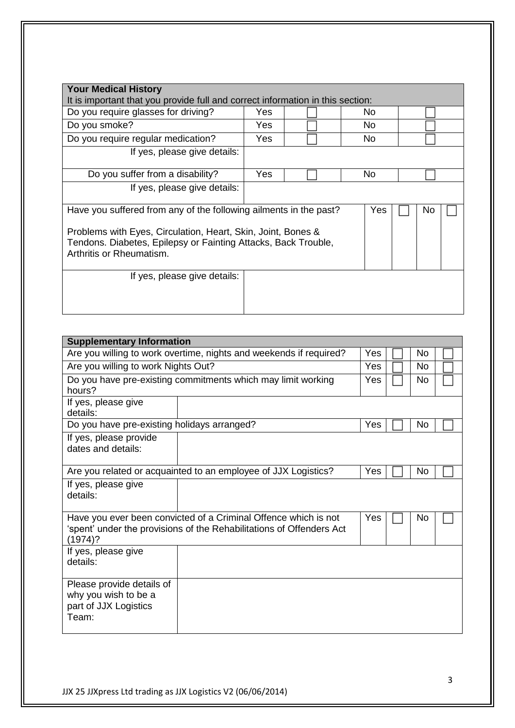| <b>Your Medical History</b>                                                                                                                                                                                                                   |      |  |     |  |  |
|-----------------------------------------------------------------------------------------------------------------------------------------------------------------------------------------------------------------------------------------------|------|--|-----|--|--|
| It is important that you provide full and correct information in this section:                                                                                                                                                                |      |  |     |  |  |
| Do you require glasses for driving?                                                                                                                                                                                                           | Yes  |  | No. |  |  |
| Do you smoke?                                                                                                                                                                                                                                 | Yes. |  | No. |  |  |
| Do you require regular medication?                                                                                                                                                                                                            | Yes  |  | No. |  |  |
| If yes, please give details:                                                                                                                                                                                                                  |      |  |     |  |  |
| Do you suffer from a disability?                                                                                                                                                                                                              | Yes  |  | No  |  |  |
| If yes, please give details:                                                                                                                                                                                                                  |      |  |     |  |  |
| Have you suffered from any of the following ailments in the past?<br>Yes<br>No.<br>Problems with Eyes, Circulation, Heart, Skin, Joint, Bones &<br>Tendons. Diabetes, Epilepsy or Fainting Attacks, Back Trouble,<br>Arthritis or Rheumatism. |      |  |     |  |  |
| If yes, please give details:                                                                                                                                                                                                                  |      |  |     |  |  |

| <b>Supplementary Information</b>                                                    |                                                                                                                                         |     |     |     |  |
|-------------------------------------------------------------------------------------|-----------------------------------------------------------------------------------------------------------------------------------------|-----|-----|-----|--|
| Are you willing to work overtime, nights and weekends if required?                  | Yes                                                                                                                                     |     | No  |     |  |
| Are you willing to work Nights Out?                                                 | Yes                                                                                                                                     |     | No. |     |  |
| Do you have pre-existing commitments which may limit working<br>hours?              |                                                                                                                                         |     |     | No  |  |
| If yes, please give<br>details:                                                     |                                                                                                                                         |     |     |     |  |
| Do you have pre-existing holidays arranged?                                         |                                                                                                                                         | Yes |     | No  |  |
| If yes, please provide<br>dates and details:                                        |                                                                                                                                         |     |     |     |  |
| Are you related or acquainted to an employee of JJX Logistics?                      | Yes                                                                                                                                     |     | No. |     |  |
| If yes, please give<br>details:                                                     |                                                                                                                                         |     |     |     |  |
| $(1974)$ ?                                                                          | Have you ever been convicted of a Criminal Offence which is not<br>'spent' under the provisions of the Rehabilitations of Offenders Act | Yes |     | No. |  |
| If yes, please give<br>details:                                                     |                                                                                                                                         |     |     |     |  |
| Please provide details of<br>why you wish to be a<br>part of JJX Logistics<br>Team: |                                                                                                                                         |     |     |     |  |